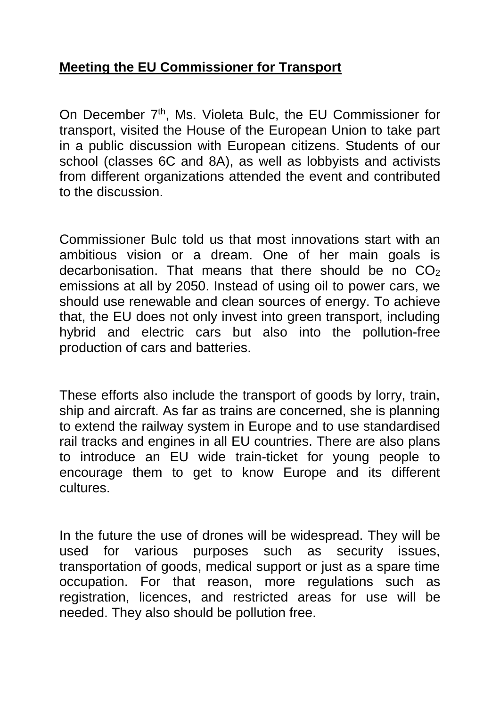## **Meeting the EU Commissioner for Transport**

On December 7<sup>th</sup>, Ms. Violeta Bulc, the EU Commissioner for transport, visited the House of the European Union to take part in a public discussion with European citizens. Students of our school (classes 6C and 8A), as well as lobbyists and activists from different organizations attended the event and contributed to the discussion.

Commissioner Bulc told us that most innovations start with an ambitious vision or a dream. One of her main goals is decarbonisation. That means that there should be no  $CO<sub>2</sub>$ emissions at all by 2050. Instead of using oil to power cars, we should use renewable and clean sources of energy. To achieve that, the EU does not only invest into green transport, including hybrid and electric cars but also into the pollution-free production of cars and batteries.

These efforts also include the transport of goods by lorry, train, ship and aircraft. As far as trains are concerned, she is planning to extend the railway system in Europe and to use standardised rail tracks and engines in all EU countries. There are also plans to introduce an EU wide train-ticket for young people to encourage them to get to know Europe and its different cultures.

In the future the use of drones will be widespread. They will be used for various purposes such as security issues, transportation of goods, medical support or just as a spare time occupation. For that reason, more regulations such as registration, licences, and restricted areas for use will be needed. They also should be pollution free.